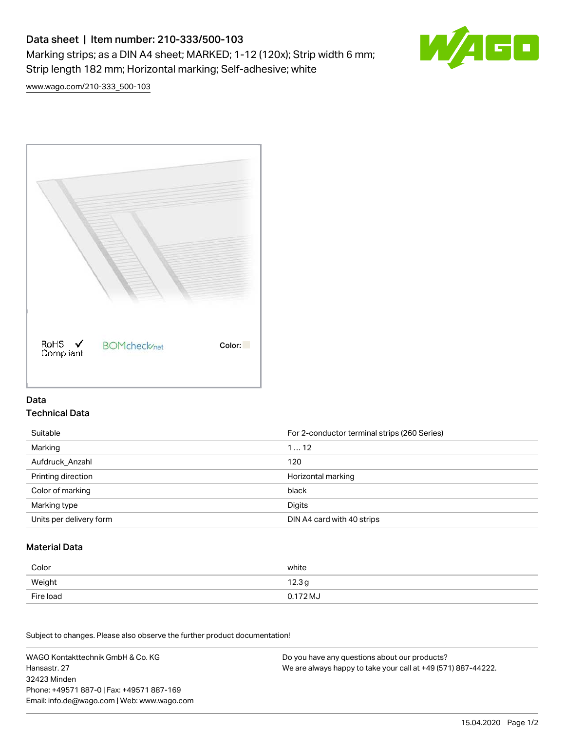# Data sheet | Item number: 210-333/500-103 Marking strips; as a DIN A4 sheet; MARKED; 1-12 (120x); Strip width 6 mm; Strip length 182 mm; Horizontal marking; Self-adhesive; white



[www.wago.com/210-333\\_500-103](http://www.wago.com/210-333_500-103)



### Data Technical Data

| Suitable                | For 2-conductor terminal strips (260 Series) |
|-------------------------|----------------------------------------------|
| Marking                 | 112                                          |
| Aufdruck Anzahl         | 120                                          |
| Printing direction      | Horizontal marking                           |
| Color of marking        | black                                        |
| Marking type            | Digits                                       |
| Units per delivery form | DIN A4 card with 40 strips                   |

#### Material Data

| Color     | white             |
|-----------|-------------------|
| Weight    | 12.3 <sub>g</sub> |
| Fire load | 0.172 MJ          |

Subject to changes. Please also observe the further product documentation!

WAGO Kontakttechnik GmbH & Co. KG Hansastr. 27 32423 Minden Phone: +49571 887-0 | Fax: +49571 887-169 Email: info.de@wago.com | Web: www.wago.com Do you have any questions about our products? We are always happy to take your call at +49 (571) 887-44222.